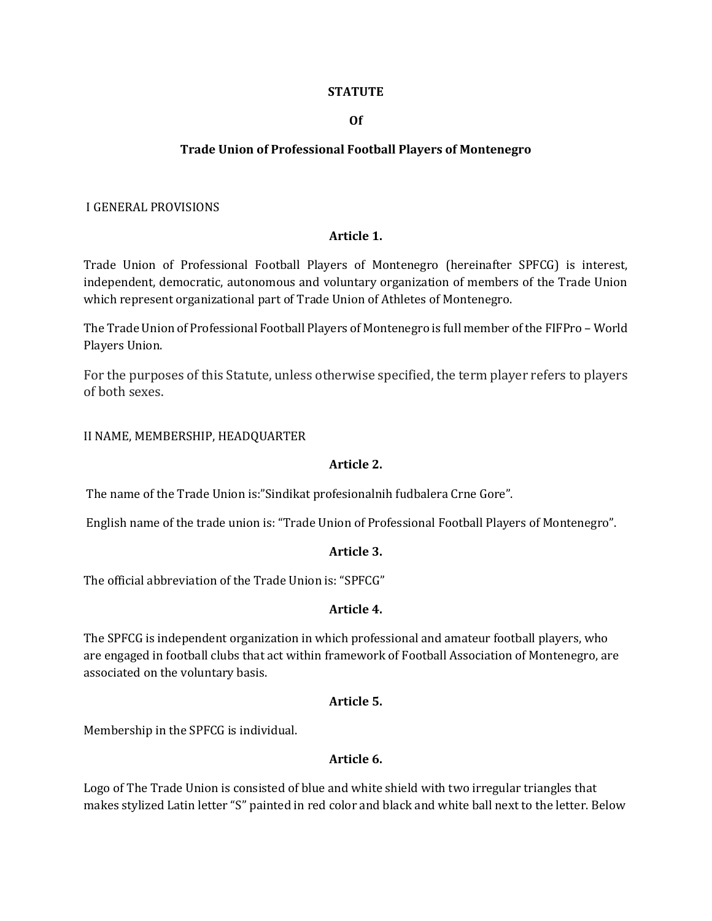#### **STATUTE**

#### **Of**

#### **Trade Union of Professional Football Players of Montenegro**

#### I GENERAL PROVISIONS

#### **Article 1.**

Trade Union of Professional Football Players of Montenegro (hereinafter SPFCG) is interest, independent, democratic, autonomous and voluntary organization of members of the Trade Union which represent organizational part of Trade Union of Athletes of Montenegro.

The Trade Union of Professional Football Players of Montenegro is full member of the FIFPro – World Players Union.

For the purposes of this Statute, unless otherwise specified, the term player refers to players of both sexes.

#### II NAME, MEMBERSHIP, HEADQUARTER

#### **Article 2.**

The name of the Trade Union is:"Sindikat profesionalnih fudbalera Crne Gore".

English name of the trade union is: "Trade Union of Professional Football Players of Montenegro".

#### **Article 3.**

The official abbreviation of the Trade Union is: "SPFCG"

#### **Article 4.**

The SPFCG is independent organization in which professional and amateur football players, who are engaged in football clubs that act within framework of Football Association of Montenegro, are associated on the voluntary basis.

#### **Article 5.**

Membership in the SPFCG is individual.

#### **Article 6.**

Logo of The Trade Union is consisted of blue and white shield with two irregular triangles that makes stylized Latin letter "S" painted in red color and black and white ball next to the letter. Below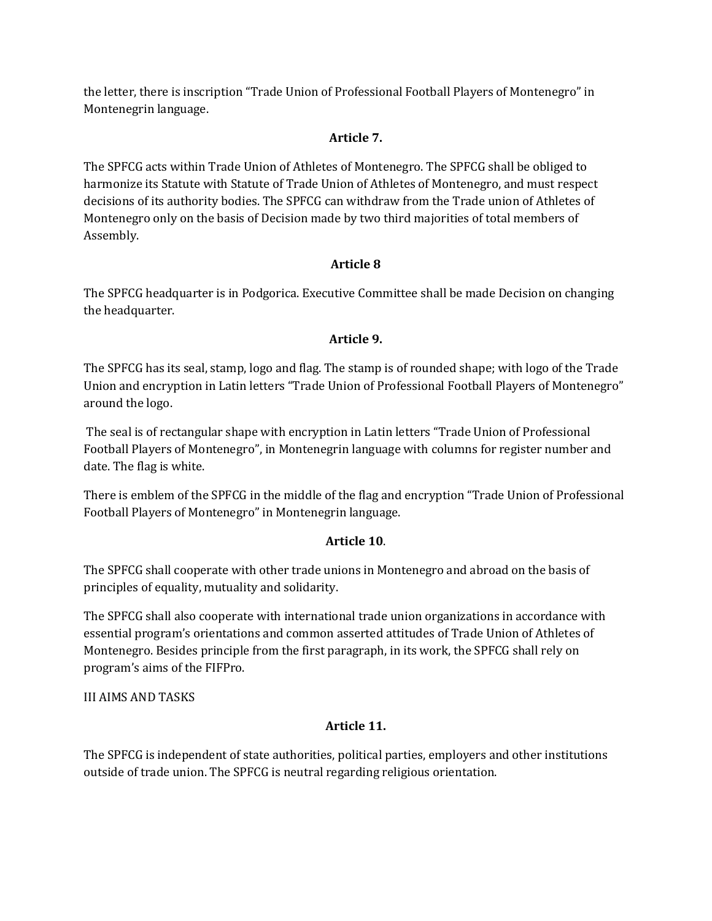the letter, there is inscription "Trade Union of Professional Football Players of Montenegro" in Montenegrin language.

## **Article 7.**

The SPFCG acts within Trade Union of Athletes of Montenegro. The SPFCG shall be obliged to harmonize its Statute with Statute of Trade Union of Athletes of Montenegro, and must respect decisions of its authority bodies. The SPFCG can withdraw from the Trade union of Athletes of Montenegro only on the basis of Decision made by two third majorities of total members of Assembly.

## **Article 8**

The SPFCG headquarter is in Podgorica. Executive Committee shall be made Decision on changing the headquarter.

## **Article 9.**

The SPFCG has its seal, stamp, logo and flag. The stamp is of rounded shape; with logo of the Trade Union and encryption in Latin letters "Trade Union of Professional Football Players of Montenegro" around the logo.

The seal is of rectangular shape with encryption in Latin letters "Trade Union of Professional Football Players of Montenegro", in Montenegrin language with columns for register number and date. The flag is white.

There is emblem of the SPFCG in the middle of the flag and encryption "Trade Union of Professional Football Players of Montenegro" in Montenegrin language.

## **Article 10**.

The SPFCG shall cooperate with other trade unions in Montenegro and abroad on the basis of principles of equality, mutuality and solidarity.

The SPFCG shall also cooperate with international trade union organizations in accordance with essential program's orientations and common asserted attitudes of Trade Union of Athletes of Montenegro. Besides principle from the first paragraph, in its work, the SPFCG shall rely on program's aims of the FIFPro.

III AIMS AND TASKS

# **Article 11.**

The SPFCG is independent of state authorities, political parties, employers and other institutions outside of trade union. The SPFCG is neutral regarding religious orientation.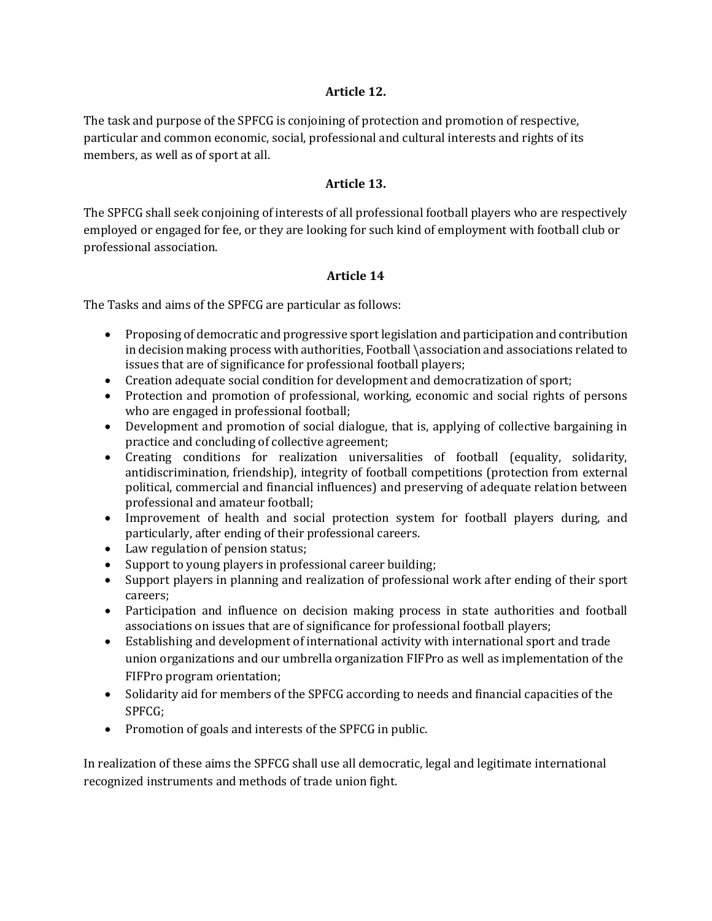### **Article 12.**

The task and purpose of the SPFCG is conjoining of protection and promotion of respective, particular and common economic, social, professional and cultural interests and rights of its members, as well as of sport at all.

### **Article 13.**

The SPFCG shall seek conjoining of interests of all professional football players who are respectively employed or engaged for fee, or they are looking for such kind of employment with football club or professional association.

### **Article 14**

The Tasks and aims of the SPFCG are particular as follows:

- Proposing of democratic and progressive sport legislation and participation and contribution in decision making process with authorities, Football \association and associations related to issues that are of significance for professional football players;
- Creation adequate social condition for development and democratization of sport;
- Protection and promotion of professional, working, economic and social rights of persons who are engaged in professional football;
- Development and promotion of social dialogue, that is, applying of collective bargaining in practice and concluding of collective agreement;
- Creating conditions for realization universalities of football (equality, solidarity, antidiscrimination, friendship), integrity of football competitions (protection from external political, commercial and financial influences) and preserving of adequate relation between professional and amateur football;
- Improvement of health and social protection system for football players during, and particularly, after ending of their professional careers.
- Law regulation of pension status;
- Support to young players in professional career building;
- Support players in planning and realization of professional work after ending of their sport careers;
- Participation and influence on decision making process in state authorities and football associations on issues that are of significance for professional football players;
- Establishing and development of international activity with international sport and trade union organizations and our umbrella organization FIFPro as well as implementation of the FIFPro program orientation;
- Solidarity aid for members of the SPFCG according to needs and financial capacities of the SPFCG;
- Promotion of goals and interests of the SPFCG in public.

In realization of these aims the SPFCG shall use all democratic, legal and legitimate international recognized instruments and methods of trade union fight.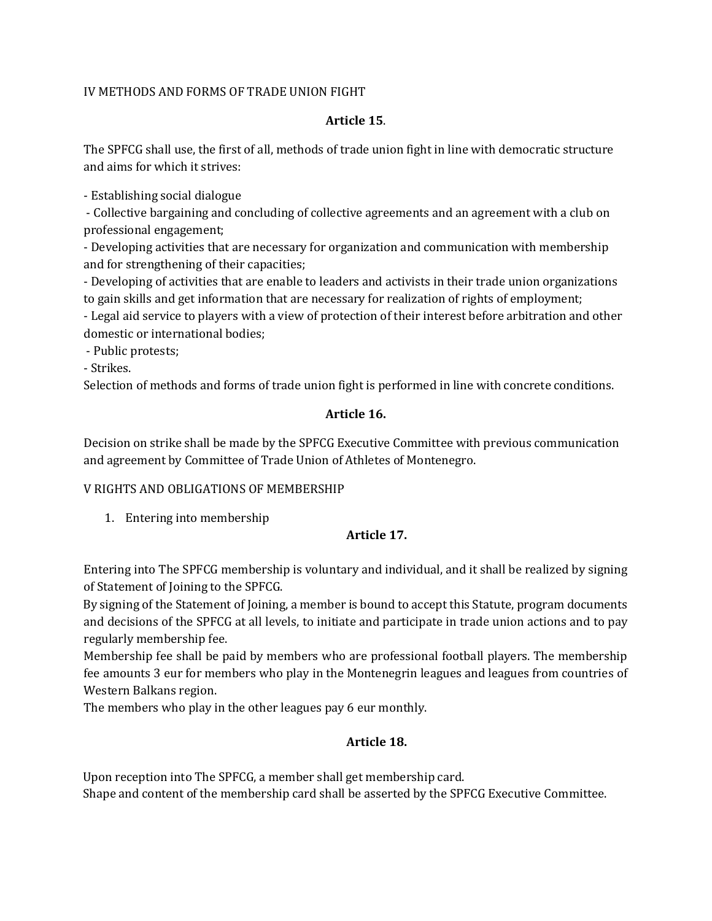### IV METHODS AND FORMS OF TRADE UNION FIGHT

### **Article 15**.

The SPFCG shall use, the first of all, methods of trade union fight in line with democratic structure and aims for which it strives:

- Establishing social dialogue

- Collective bargaining and concluding of collective agreements and an agreement with a club on professional engagement;

- Developing activities that are necessary for organization and communication with membership and for strengthening of their capacities;

- Developing of activities that are enable to leaders and activists in their trade union organizations to gain skills and get information that are necessary for realization of rights of employment;

- Legal aid service to players with a view of protection of their interest before arbitration and other domestic or international bodies;

- Public protests;

- Strikes.

Selection of methods and forms of trade union fight is performed in line with concrete conditions.

### **Article 16.**

Decision on strike shall be made by the SPFCG Executive Committee with previous communication and agreement by Committee of Trade Union of Athletes of Montenegro.

## V RIGHTS AND OBLIGATIONS OF MEMBERSHIP

1. Entering into membership

## **Article 17.**

Entering into The SPFCG membership is voluntary and individual, and it shall be realized by signing of Statement of Joining to the SPFCG.

By signing of the Statement of Joining, a member is bound to accept this Statute, program documents and decisions of the SPFCG at all levels, to initiate and participate in trade union actions and to pay regularly membership fee.

Membership fee shall be paid by members who are professional football players. The membership fee amounts 3 eur for members who play in the Montenegrin leagues and leagues from countries of Western Balkans region.

The members who play in the other leagues pay 6 eur monthly.

## **Article 18.**

Upon reception into The SPFCG, a member shall get membership card. Shape and content of the membership card shall be asserted by the SPFCG Executive Committee.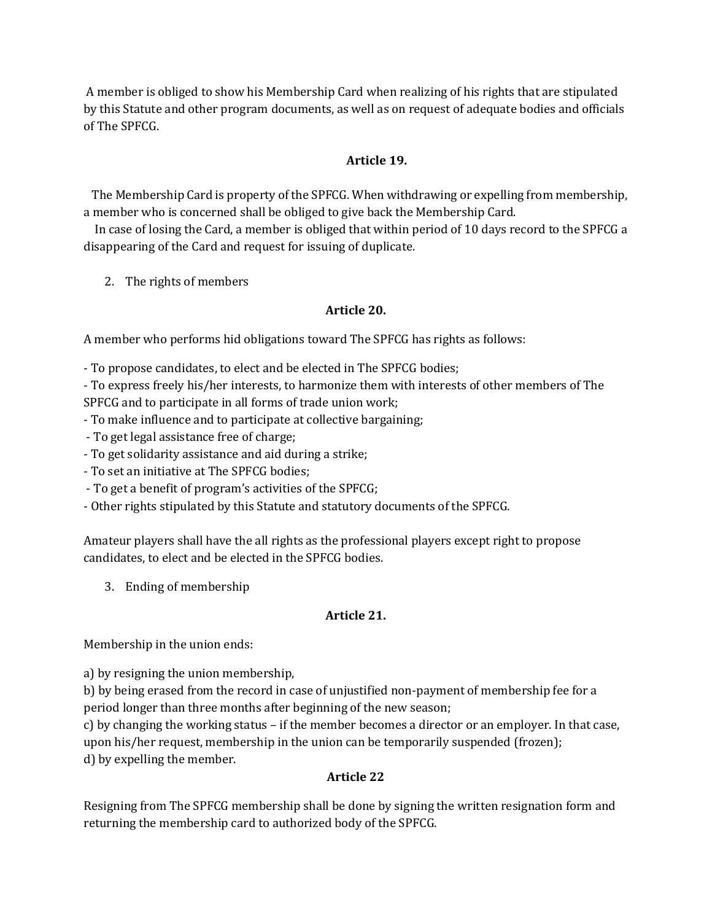A member is obliged to show his Membership Card when realizing of his rights that are stipulated by this Statute and other program documents, as well as on request of adequate bodies and officials of The SPFCG.

## **Article 19.**

The Membership Card is property of the SPFCG. When withdrawing or expelling from membership, a member who is concerned shall be obliged to give back the Membership Card.

In case of losing the Card, a member is obliged that within period of 10 days record to the SPFCG a disappearing of the Card and request for issuing of duplicate.

2. The rights of members

### **Article 20.**

A member who performs hid obligations toward The SPFCG has rights as follows:

- To propose candidates, to elect and be elected in The SPFCG bodies;

- To express freely his/her interests, to harmonize them with interests of other members of The SPFCG and to participate in all forms of trade union work;
- To make influence and to participate at collective bargaining;
- To get legal assistance free of charge;
- To get solidarity assistance and aid during a strike;
- To set an initiative at The SPFCG bodies;
- To get a benefit of program's activities of the SPFCG;
- Other rights stipulated by this Statute and statutory documents of the SPFCG.

Amateur players shall have the all rights as the professional players except right to propose candidates, to elect and be elected in the SPFCG bodies.

3. Ending of membership

### **Article 21.**

Membership in the union ends:

a) by resigning the union membership,

b) by being erased from the record in case of unjustified non-payment of membership fee for a period longer than three months after beginning of the new season;

c) by changing the working status – if the member becomes a director or an employer. In that case, upon his/her request, membership in the union can be temporarily suspended (frozen); d) by expelling the member.

## **Article 22**

Resigning from The SPFCG membership shall be done by signing the written resignation form and returning the membership card to authorized body of the SPFCG.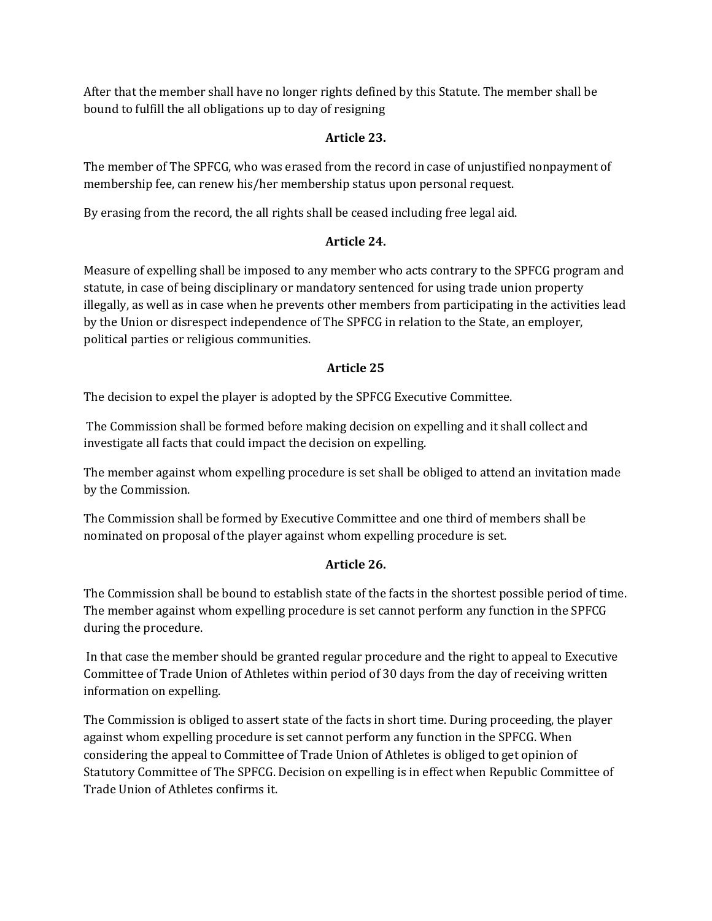After that the member shall have no longer rights defined by this Statute. The member shall be bound to fulfill the all obligations up to day of resigning

## **Article 23.**

The member of The SPFCG, who was erased from the record in case of unjustified nonpayment of membership fee, can renew his/her membership status upon personal request.

By erasing from the record, the all rights shall be ceased including free legal aid.

## **Article 24.**

Measure of expelling shall be imposed to any member who acts contrary to the SPFCG program and statute, in case of being disciplinary or mandatory sentenced for using trade union property illegally, as well as in case when he prevents other members from participating in the activities lead by the Union or disrespect independence of The SPFCG in relation to the State, an employer, political parties or religious communities.

## **Article 25**

The decision to expel the player is adopted by the SPFCG Executive Committee.

The Commission shall be formed before making decision on expelling and it shall collect and investigate all facts that could impact the decision on expelling.

The member against whom expelling procedure is set shall be obliged to attend an invitation made by the Commission.

The Commission shall be formed by Executive Committee and one third of members shall be nominated on proposal of the player against whom expelling procedure is set.

## **Article 26.**

The Commission shall be bound to establish state of the facts in the shortest possible period of time. The member against whom expelling procedure is set cannot perform any function in the SPFCG during the procedure.

In that case the member should be granted regular procedure and the right to appeal to Executive Committee of Trade Union of Athletes within period of 30 days from the day of receiving written information on expelling.

The Commission is obliged to assert state of the facts in short time. During proceeding, the player against whom expelling procedure is set cannot perform any function in the SPFCG. When considering the appeal to Committee of Trade Union of Athletes is obliged to get opinion of Statutory Committee of The SPFCG. Decision on expelling is in effect when Republic Committee of Trade Union of Athletes confirms it.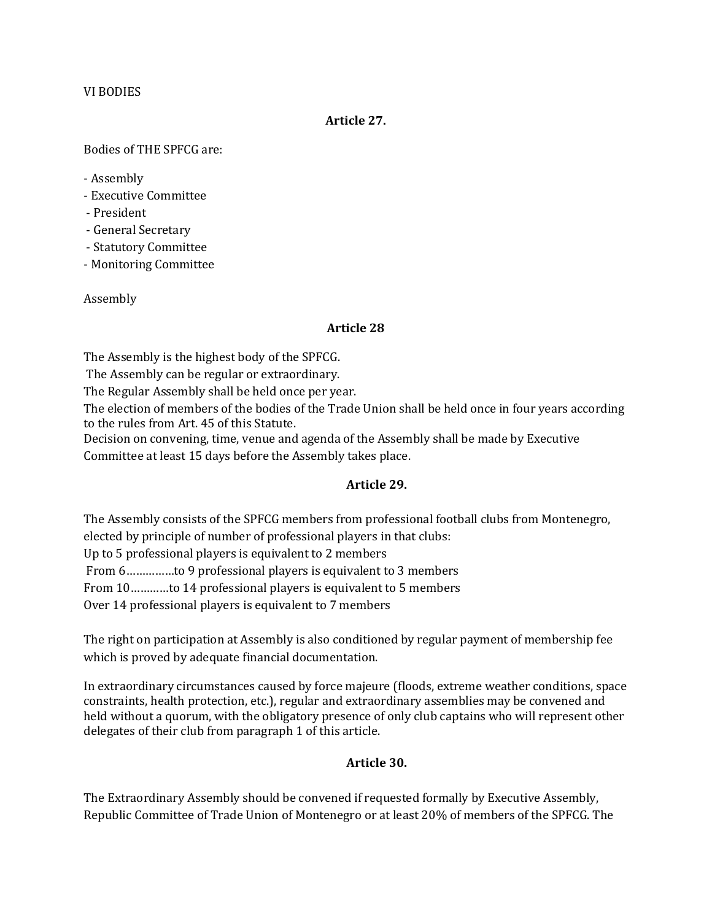#### VI BODIES

#### **Article 27.**

Bodies of THE SPFCG are:

- Assembly

- Executive Committee
- President
- General Secretary
- Statutory Committee
- Monitoring Committee

#### Assembly

### **Article 28**

The Assembly is the highest body of the SPFCG.

The Assembly can be regular or extraordinary.

The Regular Assembly shall be held once per year.

The election of members of the bodies of the Trade Union shall be held once in four years according to the rules from Art. 45 of this Statute.

Decision on convening, time, venue and agenda of the Assembly shall be made by Executive Committee at least 15 days before the Assembly takes place.

### **Article 29.**

The Assembly consists of the SPFCG members from professional football clubs from Montenegro,

elected by principle of number of professional players in that clubs:

Up to 5 professional players is equivalent to 2 members

From 6……………to 9 professional players is equivalent to 3 members

From 10…………to 14 professional players is equivalent to 5 members

Over 14 professional players is equivalent to 7 members

The right on participation at Assembly is also conditioned by regular payment of membership fee which is proved by adequate financial documentation.

In extraordinary circumstances caused by force majeure (floods, extreme weather conditions, space constraints, health protection, etc.), regular and extraordinary assemblies may be convened and held without a quorum, with the obligatory presence of only club captains who will represent other delegates of their club from paragraph 1 of this article.

### **Article 30.**

The Extraordinary Assembly should be convened if requested formally by Executive Assembly, Republic Committee of Trade Union of Montenegro or at least 20% of members of the SPFCG. The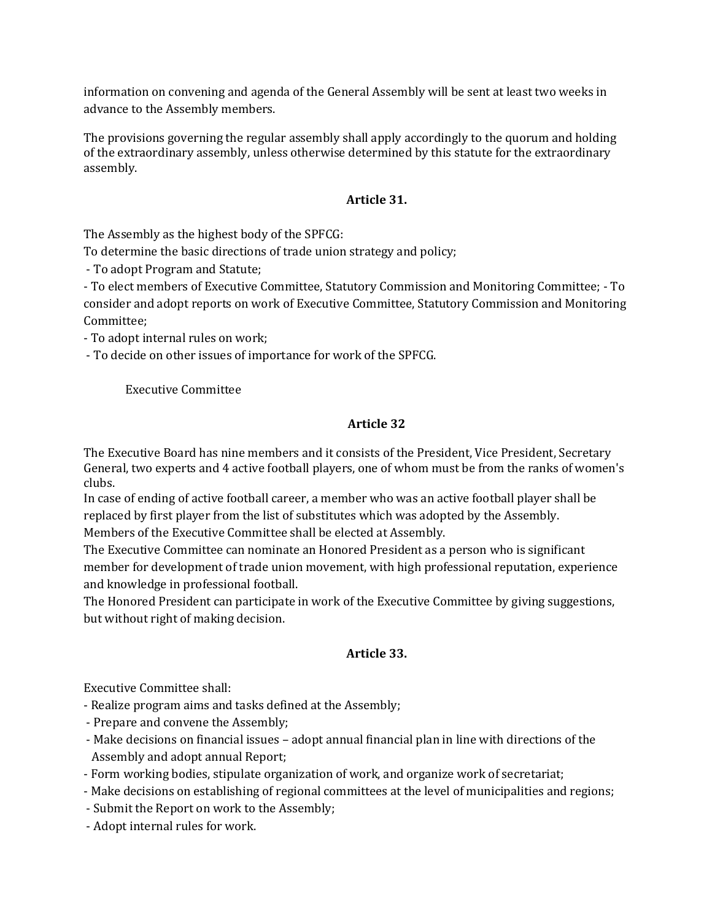information on convening and agenda of the General Assembly will be sent at least two weeks in advance to the Assembly members.

The provisions governing the regular assembly shall apply accordingly to the quorum and holding of the extraordinary assembly, unless otherwise determined by this statute for the extraordinary assembly.

### **Article 31.**

The Assembly as the highest body of the SPFCG:

To determine the basic directions of trade union strategy and policy;

- To adopt Program and Statute;

- To elect members of Executive Committee, Statutory Commission and Monitoring Committee; - To consider and adopt reports on work of Executive Committee, Statutory Commission and Monitoring Committee;

- To adopt internal rules on work;

- To decide on other issues of importance for work of the SPFCG.

### Executive Committee

### **Article 32**

The Executive Board has nine members and it consists of the President, Vice President, Secretary General, two experts and 4 active football players, one of whom must be from the ranks of women's clubs.

In case of ending of active football career, a member who was an active football player shall be replaced by first player from the list of substitutes which was adopted by the Assembly.

Members of the Executive Committee shall be elected at Assembly.

The Executive Committee can nominate an Honored President as a person who is significant member for development of trade union movement, with high professional reputation, experience and knowledge in professional football.

The Honored President can participate in work of the Executive Committee by giving suggestions, but without right of making decision.

### **Article 33.**

Executive Committee shall:

- Realize program aims and tasks defined at the Assembly;
- Prepare and convene the Assembly;
- Make decisions on financial issues adopt annual financial plan in line with directions of the Assembly and adopt annual Report;
- Form working bodies, stipulate organization of work, and organize work of secretariat;
- Make decisions on establishing of regional committees at the level of municipalities and regions;
- Submit the Report on work to the Assembly;
- Adopt internal rules for work.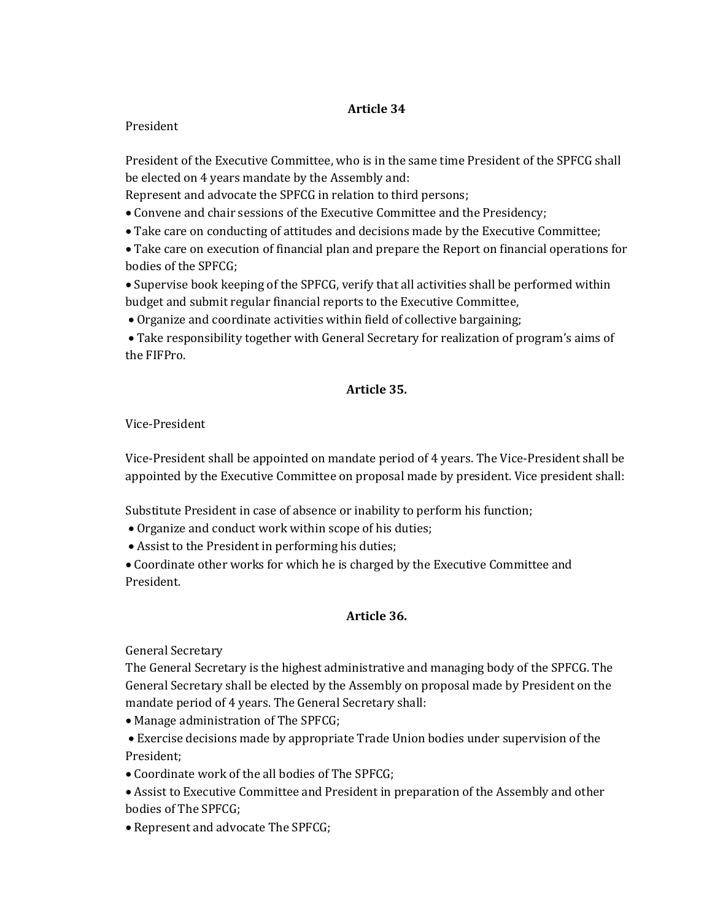## **Article 34**

### President

President of the Executive Committee, who is in the same time President of the SPFCG shall be elected on 4 years mandate by the Assembly and:

Represent and advocate the SPFCG in relation to third persons;

- Convene and chair sessions of the Executive Committee and the Presidency;
- Take care on conducting of attitudes and decisions made by the Executive Committee;

 Take care on execution of financial plan and prepare the Report on financial operations for bodies of the SPFCG;

 Supervise book keeping of the SPFCG, verify that all activities shall be performed within budget and submit regular financial reports to the Executive Committee,

Organize and coordinate activities within field of collective bargaining;

 Take responsibility together with General Secretary for realization of program's aims of the FIFPro.

## **Article 35.**

Vice-President

Vice-President shall be appointed on mandate period of 4 years. The Vice-President shall be appointed by the Executive Committee on proposal made by president. Vice president shall:

Substitute President in case of absence or inability to perform his function;

- Organize and conduct work within scope of his duties;
- Assist to the President in performing his duties;

 Coordinate other works for which he is charged by the Executive Committee and President.

### **Article 36.**

General Secretary

The General Secretary is the highest administrative and managing body of the SPFCG. The General Secretary shall be elected by the Assembly on proposal made by President on the mandate period of 4 years. The General Secretary shall:

Manage administration of The SPFCG;

 Exercise decisions made by appropriate Trade Union bodies under supervision of the President;

- Coordinate work of the all bodies of The SPFCG;
- Assist to Executive Committee and President in preparation of the Assembly and other bodies of The SPFCG;
- Represent and advocate The SPFCG;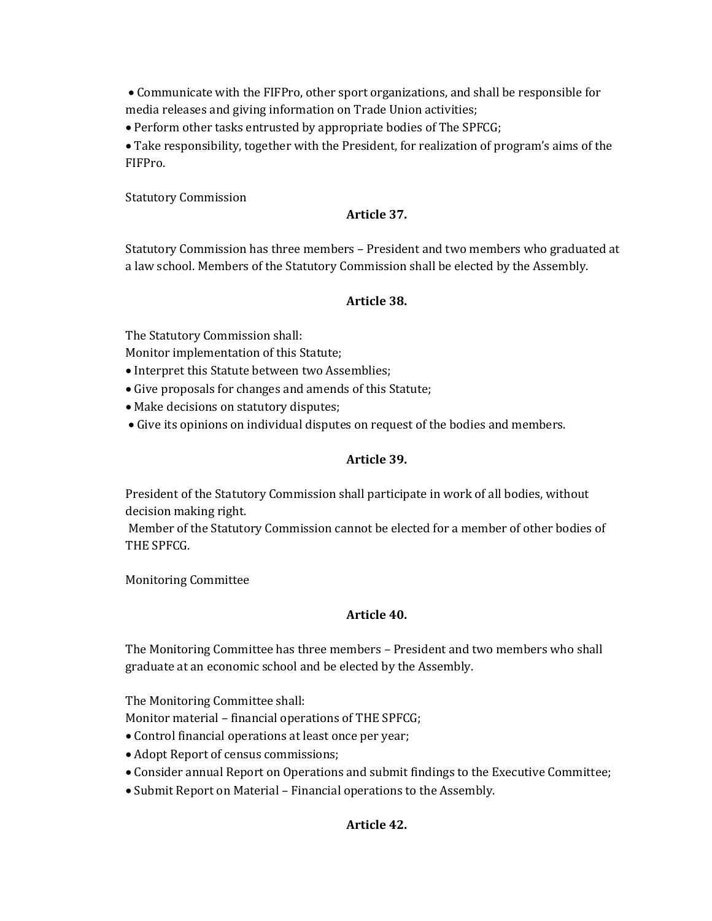Communicate with the FIFPro, other sport organizations, and shall be responsible for media releases and giving information on Trade Union activities;

Perform other tasks entrusted by appropriate bodies of The SPFCG;

 Take responsibility, together with the President, for realization of program's aims of the FIFPro.

Statutory Commission

#### **Article 37.**

Statutory Commission has three members – President and two members who graduated at a law school. Members of the Statutory Commission shall be elected by the Assembly.

#### **Article 38.**

The Statutory Commission shall:

Monitor implementation of this Statute;

- Interpret this Statute between two Assemblies;
- Give proposals for changes and amends of this Statute;
- Make decisions on statutory disputes;
- Give its opinions on individual disputes on request of the bodies and members.

#### **Article 39.**

President of the Statutory Commission shall participate in work of all bodies, without decision making right.

Member of the Statutory Commission cannot be elected for a member of other bodies of THE SPFCG.

Monitoring Committee

#### **Article 40.**

The Monitoring Committee has three members – President and two members who shall graduate at an economic school and be elected by the Assembly.

The Monitoring Committee shall:

Monitor material – financial operations of THE SPFCG;

- Control financial operations at least once per year;
- Adopt Report of census commissions;
- Consider annual Report on Operations and submit findings to the Executive Committee;
- Submit Report on Material Financial operations to the Assembly.

### **Article 42.**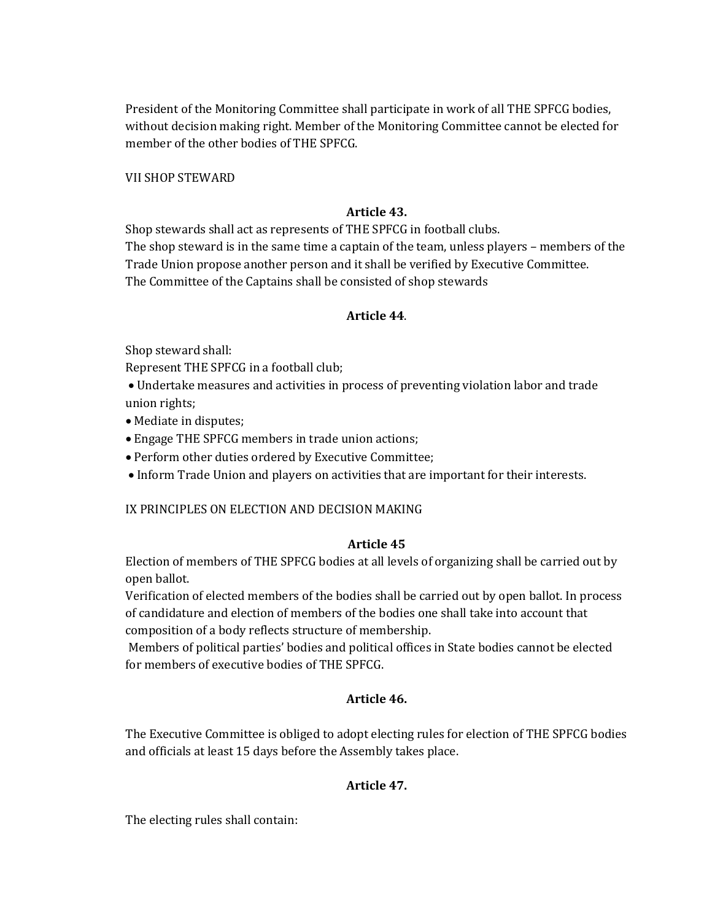President of the Monitoring Committee shall participate in work of all THE SPFCG bodies, without decision making right. Member of the Monitoring Committee cannot be elected for member of the other bodies of THE SPFCG.

VII SHOP STEWARD

#### **Article 43.**

Shop stewards shall act as represents of THE SPFCG in football clubs.

The shop steward is in the same time a captain of the team, unless players – members of the Trade Union propose another person and it shall be verified by Executive Committee. The Committee of the Captains shall be consisted of shop stewards

### **Article 44**.

Shop steward shall:

Represent THE SPFCG in a football club;

 Undertake measures and activities in process of preventing violation labor and trade union rights;

- Mediate in disputes;
- Engage THE SPFCG members in trade union actions;
- Perform other duties ordered by Executive Committee;
- Inform Trade Union and players on activities that are important for their interests.

IX PRINCIPLES ON ELECTION AND DECISION MAKING

## **Article 45**

Election of members of THE SPFCG bodies at all levels of organizing shall be carried out by open ballot.

Verification of elected members of the bodies shall be carried out by open ballot. In process of candidature and election of members of the bodies one shall take into account that composition of a body reflects structure of membership.

Members of political parties' bodies and political offices in State bodies cannot be elected for members of executive bodies of THE SPFCG.

## **Article 46.**

The Executive Committee is obliged to adopt electing rules for election of THE SPFCG bodies and officials at least 15 days before the Assembly takes place.

## **Article 47.**

The electing rules shall contain: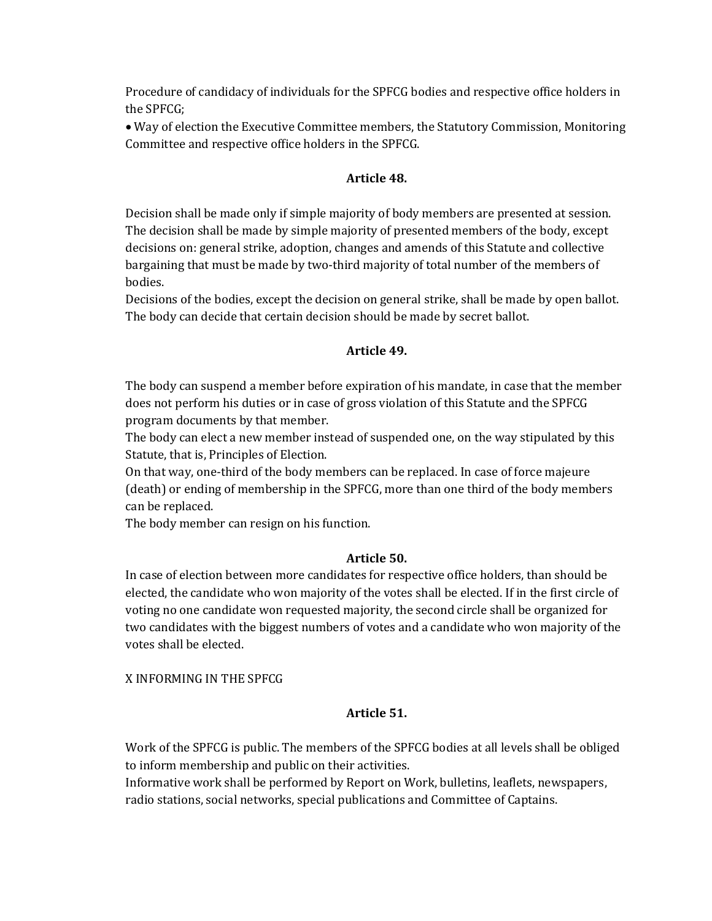Procedure of candidacy of individuals for the SPFCG bodies and respective office holders in the SPFCG;

 Way of election the Executive Committee members, the Statutory Commission, Monitoring Committee and respective office holders in the SPFCG.

### **Article 48.**

Decision shall be made only if simple majority of body members are presented at session. The decision shall be made by simple majority of presented members of the body, except decisions on: general strike, adoption, changes and amends of this Statute and collective bargaining that must be made by two-third majority of total number of the members of bodies.

Decisions of the bodies, except the decision on general strike, shall be made by open ballot. The body can decide that certain decision should be made by secret ballot.

### **Article 49.**

The body can suspend a member before expiration of his mandate, in case that the member does not perform his duties or in case of gross violation of this Statute and the SPFCG program documents by that member.

The body can elect a new member instead of suspended one, on the way stipulated by this Statute, that is, Principles of Election.

On that way, one-third of the body members can be replaced. In case of force majeure (death) or ending of membership in the SPFCG, more than one third of the body members can be replaced.

The body member can resign on his function.

### **Article 50.**

In case of election between more candidates for respective office holders, than should be elected, the candidate who won majority of the votes shall be elected. If in the first circle of voting no one candidate won requested majority, the second circle shall be organized for two candidates with the biggest numbers of votes and a candidate who won majority of the votes shall be elected.

X INFORMING IN THE SPFCG

### **Article 51.**

Work of the SPFCG is public. The members of the SPFCG bodies at all levels shall be obliged to inform membership and public on their activities.

Informative work shall be performed by Report on Work, bulletins, leaflets, newspapers, radio stations, social networks, special publications and Committee of Captains.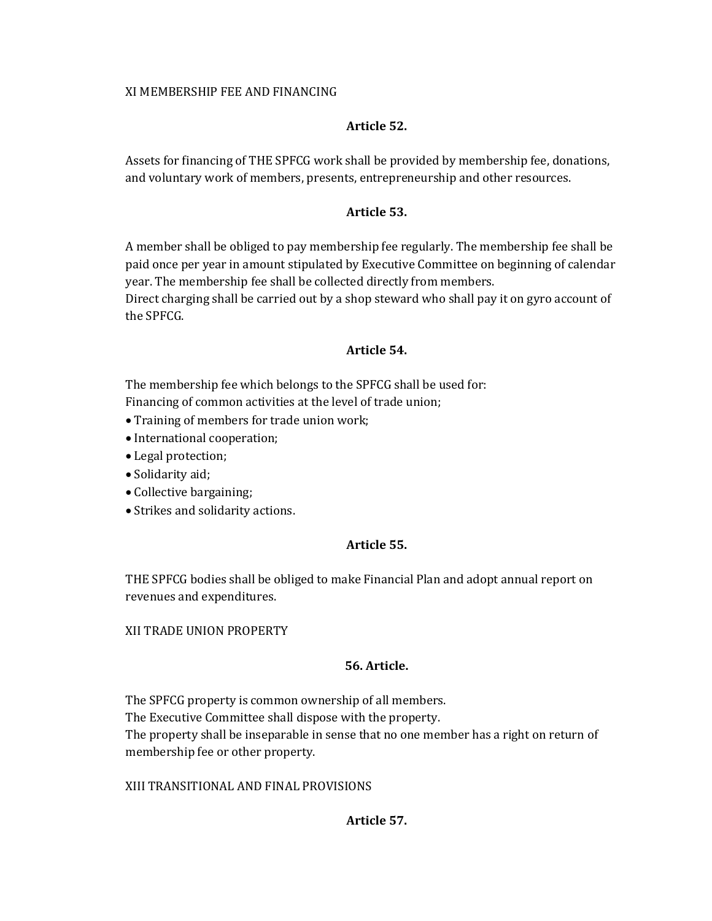### XI MEMBERSHIP FEE AND FINANCING

### **Article 52.**

Assets for financing of THE SPFCG work shall be provided by membership fee, donations, and voluntary work of members, presents, entrepreneurship and other resources.

### **Article 53.**

A member shall be obliged to pay membership fee regularly. The membership fee shall be paid once per year in amount stipulated by Executive Committee on beginning of calendar year. The membership fee shall be collected directly from members.

Direct charging shall be carried out by a shop steward who shall pay it on gyro account of the SPFCG.

### **Article 54.**

The membership fee which belongs to the SPFCG shall be used for:

Financing of common activities at the level of trade union;

- Training of members for trade union work;
- International cooperation;
- Legal protection;
- Solidarity aid;
- Collective bargaining;
- Strikes and solidarity actions.

## **Article 55.**

THE SPFCG bodies shall be obliged to make Financial Plan and adopt annual report on revenues and expenditures.

## XII TRADE UNION PROPERTY

## **56. Article.**

The SPFCG property is common ownership of all members. The Executive Committee shall dispose with the property. The property shall be inseparable in sense that no one member has a right on return of membership fee or other property.

## XIII TRANSITIONAL AND FINAL PROVISIONS

## **Article 57.**